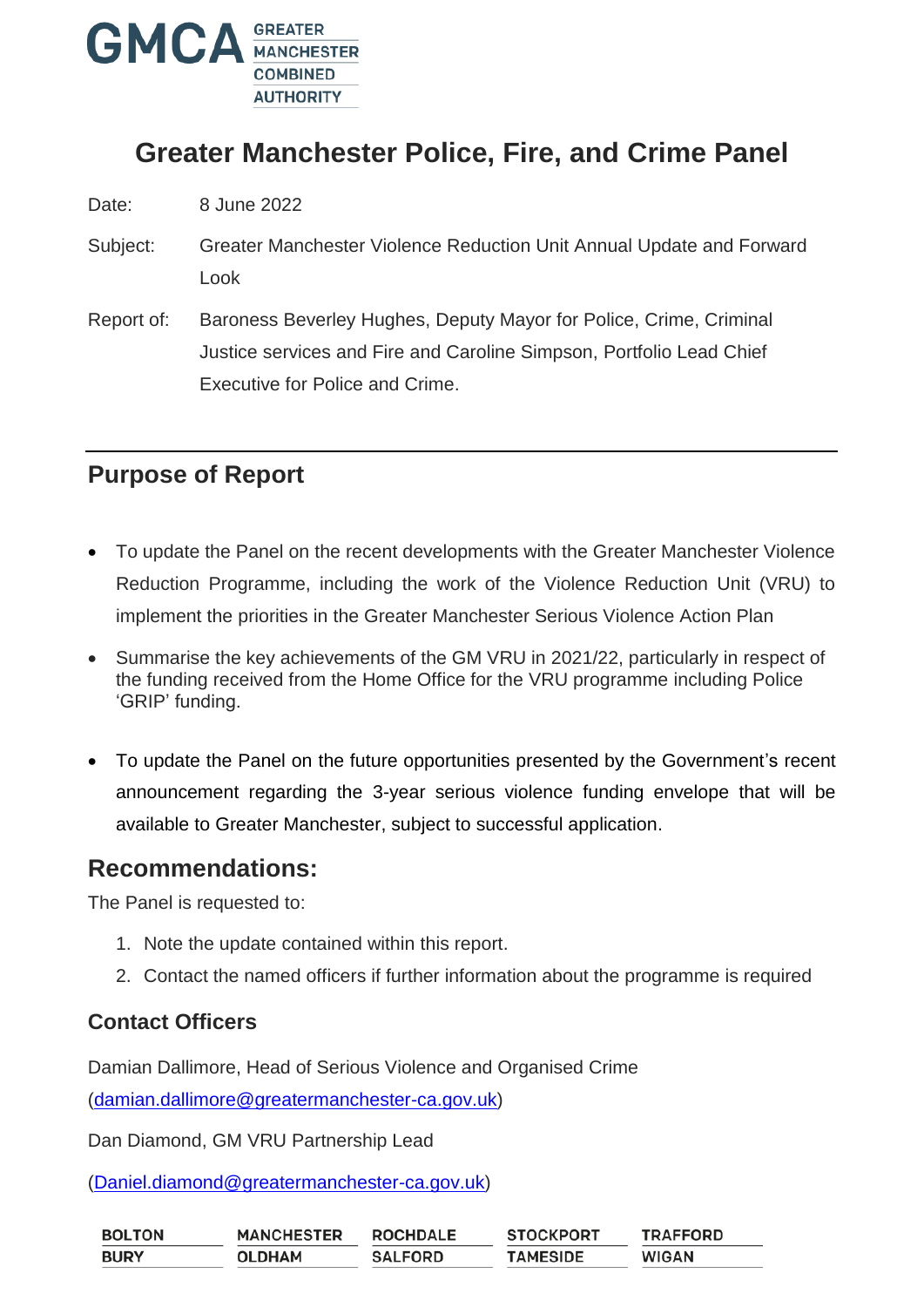

# **Greater Manchester Police, Fire, and Crime Panel**

Date: 8 June 2022

- Subject: Greater Manchester Violence Reduction Unit Annual Update and Forward Look
- Report of: Baroness Beverley Hughes, Deputy Mayor for Police, Crime, Criminal Justice services and Fire and Caroline Simpson, Portfolio Lead Chief Executive for Police and Crime.

# **Purpose of Report**

- To update the Panel on the recent developments with the Greater Manchester Violence Reduction Programme, including the work of the Violence Reduction Unit (VRU) to implement the priorities in the Greater Manchester Serious Violence Action Plan
- Summarise the key achievements of the GM VRU in 2021/22, particularly in respect of the funding received from the Home Office for the VRU programme including Police 'GRIP' funding.
- To update the Panel on the future opportunities presented by the Government's recent announcement regarding the 3-year serious violence funding envelope that will be available to Greater Manchester, subject to successful application.

### **Recommendations:**

The Panel is requested to:

- 1. Note the update contained within this report.
- 2. Contact the named officers if further information about the programme is required

### **Contact Officers**

Damian Dallimore, Head of Serious Violence and Organised Crime

[\(damian.dallimore@greatermanchester-ca.gov.uk\)](mailto:damian.dallimore@greatermanchester-ca.gov.uk)

Dan Diamond, GM VRU Partnership Lead

[\(Daniel.diamond@greatermanchester-ca.gov.uk\)](mailto:Daniel.diamond@greatermanchester-ca.gov.uk)

| <b>BOLTON</b> | <b>MANCHESTER</b> | <b>ROCHDALE</b> | <b>STOCKPORT</b> | <b>TRAFFORD</b> |
|---------------|-------------------|-----------------|------------------|-----------------|
| <b>BURY</b>   | <b>OLDHAM</b>     | <b>SALFORD</b>  | <b>TAMESIDE</b>  | <b>WIGAN</b>    |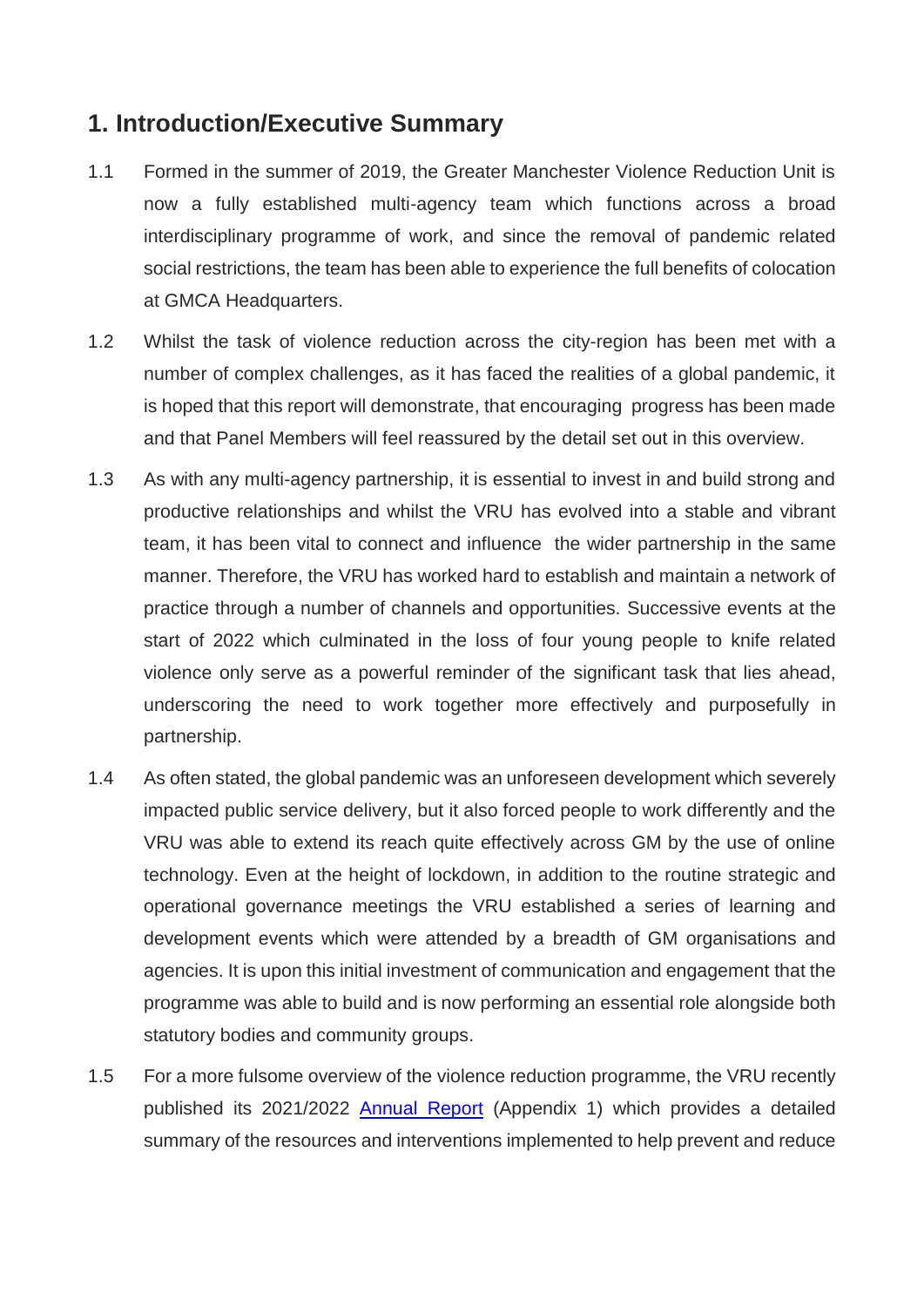# **1. Introduction/Executive Summary**

- 1.1 Formed in the summer of 2019, the Greater Manchester Violence Reduction Unit is now a fully established multi-agency team which functions across a broad interdisciplinary programme of work, and since the removal of pandemic related social restrictions, the team has been able to experience the full benefits of colocation at GMCA Headquarters.
- 1.2 Whilst the task of violence reduction across the city-region has been met with a number of complex challenges, as it has faced the realities of a global pandemic, it is hoped that this report will demonstrate, that encouraging progress has been made and that Panel Members will feel reassured by the detail set out in this overview.
- 1.3 As with any multi-agency partnership, it is essential to invest in and build strong and productive relationships and whilst the VRU has evolved into a stable and vibrant team, it has been vital to connect and influence the wider partnership in the same manner. Therefore, the VRU has worked hard to establish and maintain a network of practice through a number of channels and opportunities. Successive events at the start of 2022 which culminated in the loss of four young people to knife related violence only serve as a powerful reminder of the significant task that lies ahead, underscoring the need to work together more effectively and purposefully in partnership.
- 1.4 As often stated, the global pandemic was an unforeseen development which severely impacted public service delivery, but it also forced people to work differently and the VRU was able to extend its reach quite effectively across GM by the use of online technology. Even at the height of lockdown, in addition to the routine strategic and operational governance meetings the VRU established a series of learning and development events which were attended by a breadth of GM organisations and agencies. It is upon this initial investment of communication and engagement that the programme was able to build and is now performing an essential role alongside both statutory bodies and community groups.
- 1.5 For a more fulsome overview of the violence reduction programme, the VRU recently published its 2021/2022 [Annual Report](https://view.officeapps.live.com/op/view.aspx?src=https%3A%2F%2Fgmvru.co.uk%2Fwp-content%2Fuploads%2F2022%2F05%2FVRU-Annual-Report-2021-22-FINAL.docx&wdOrigin=BROWSELINK) (Appendix 1) which provides a detailed summary of the resources and interventions implemented to help prevent and reduce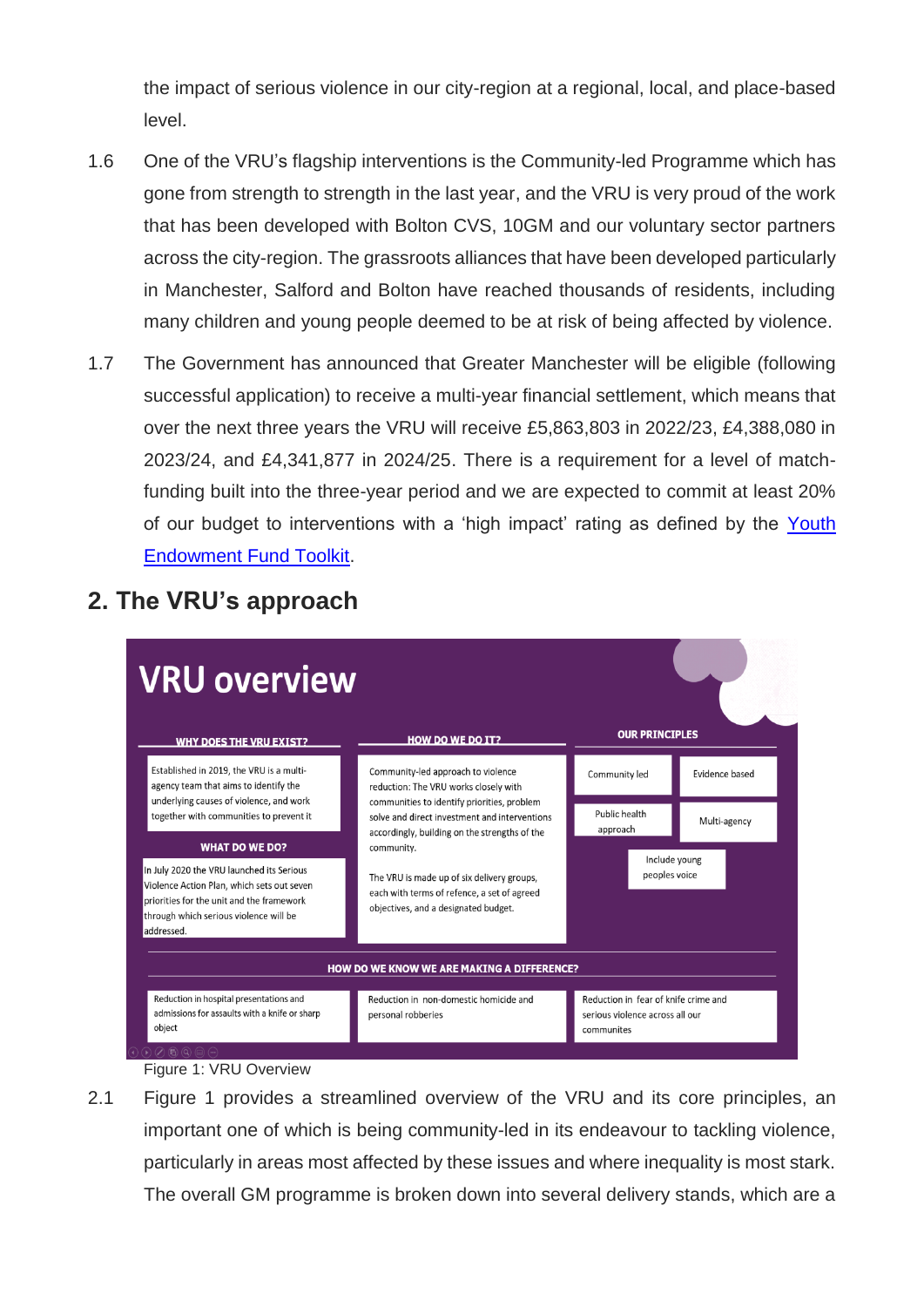the impact of serious violence in our city-region at a regional, local, and place-based level.

- 1.6 One of the VRU's flagship interventions is the Community-led Programme which has gone from strength to strength in the last year, and the VRU is very proud of the work that has been developed with Bolton CVS, 10GM and our voluntary sector partners across the city-region. The grassroots alliances that have been developed particularly in Manchester, Salford and Bolton have reached thousands of residents, including many children and young people deemed to be at risk of being affected by violence.
- 1.7 The Government has announced that Greater Manchester will be eligible (following successful application) to receive a multi-year financial settlement, which means that over the next three years the VRU will receive £5,863,803 in 2022/23, £4,388,080 in 2023/24, and £4,341,877 in 2024/25. There is a requirement for a level of matchfunding built into the three-year period and we are expected to commit at least 20% of our budget to interventions with a 'high impact' rating as defined by the [Youth](https://youthendowmentfund.org.uk/toolkit/)  [Endowment Fund Toolkit.](https://youthendowmentfund.org.uk/toolkit/)



# **2. The VRU's approach**

Figure 1: VRU Overview

2.1 Figure 1 provides a streamlined overview of the VRU and its core principles, an important one of which is being community-led in its endeavour to tackling violence, particularly in areas most affected by these issues and where inequality is most stark. The overall GM programme is broken down into several delivery stands, which are a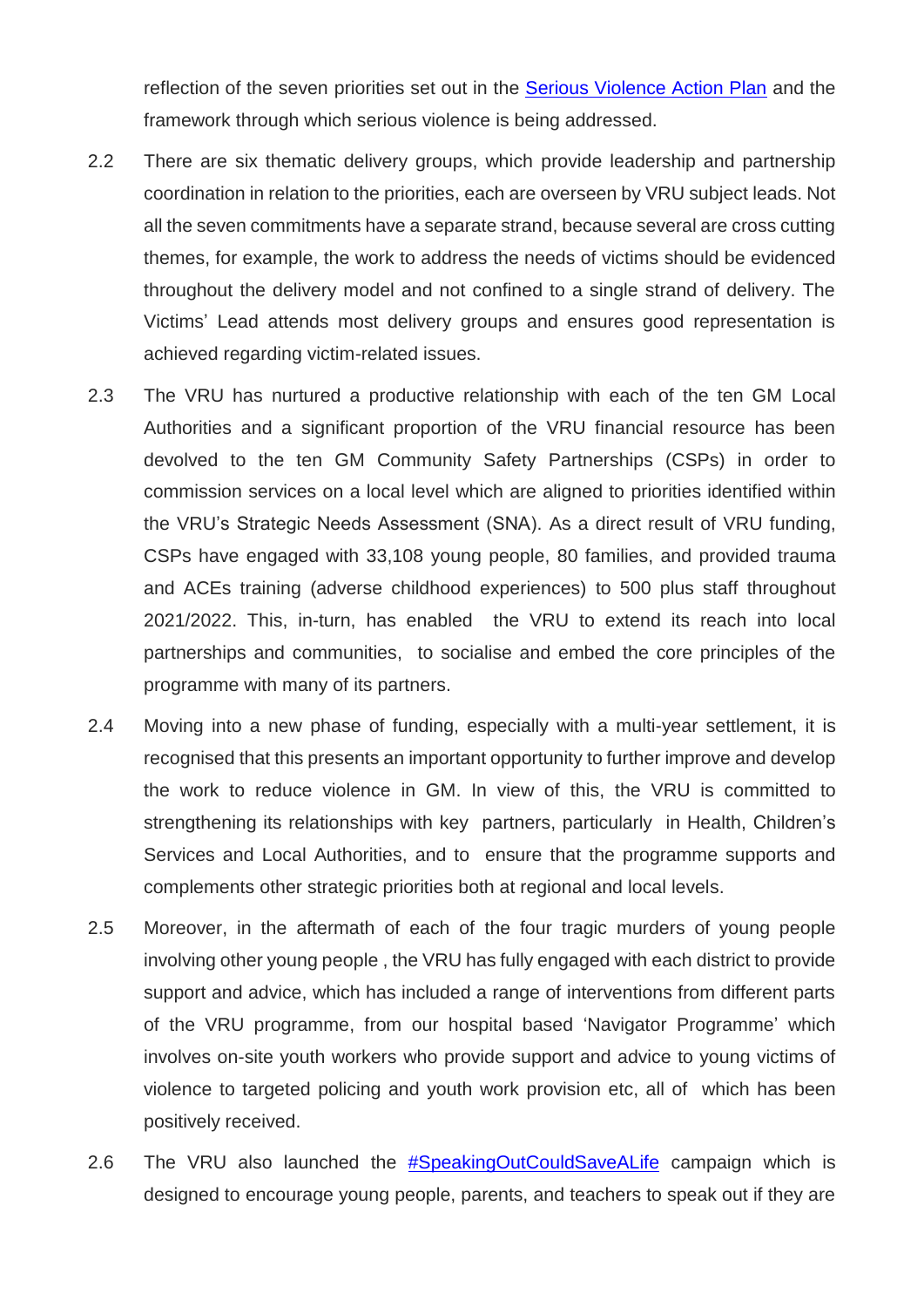reflection of the seven priorities set out in the [Serious Violence Action Plan](https://www.greatermanchester-ca.gov.uk/media/4811/gm_violence_reduction_plan_final_amends_final_accessible.pdf) and the framework through which serious violence is being addressed.

- 2.2 There are six thematic delivery groups, which provide leadership and partnership coordination in relation to the priorities, each are overseen by VRU subject leads. Not all the seven commitments have a separate strand, because several are cross cutting themes, for example, the work to address the needs of victims should be evidenced throughout the delivery model and not confined to a single strand of delivery. The Victims' Lead attends most delivery groups and ensures good representation is achieved regarding victim-related issues.
- 2.3 The VRU has nurtured a productive relationship with each of the ten GM Local Authorities and a significant proportion of the VRU financial resource has been devolved to the ten GM Community Safety Partnerships (CSPs) in order to commission services on a local level which are aligned to priorities identified within the VRU's Strategic Needs Assessment (SNA). As a direct result of VRU funding, CSPs have engaged with 33,108 young people, 80 families, and provided trauma and ACEs training (adverse childhood experiences) to 500 plus staff throughout 2021/2022. This, in-turn, has enabled the VRU to extend its reach into local partnerships and communities, to socialise and embed the core principles of the programme with many of its partners.
- 2.4 Moving into a new phase of funding, especially with a multi-year settlement, it is recognised that this presents an important opportunity to further improve and develop the work to reduce violence in GM. In view of this, the VRU is committed to strengthening its relationships with key partners, particularly in Health, Children's Services and Local Authorities, and to ensure that the programme supports and complements other strategic priorities both at regional and local levels.
- 2.5 Moreover, in the aftermath of each of the four tragic murders of young people involving other young people , the VRU has fully engaged with each district to provide support and advice, which has included a range of interventions from different parts of the VRU programme, from our hospital based 'Navigator Programme' which involves on-site youth workers who provide support and advice to young victims of violence to targeted policing and youth work provision etc, all of which has been positively received.
- 2.6 The VRU also launched the [#SpeakingOutCouldSaveALife](https://www.youtube.com/watch?v=AI3DvbmiZtg) campaign which is designed to encourage young people, parents, and teachers to speak out if they are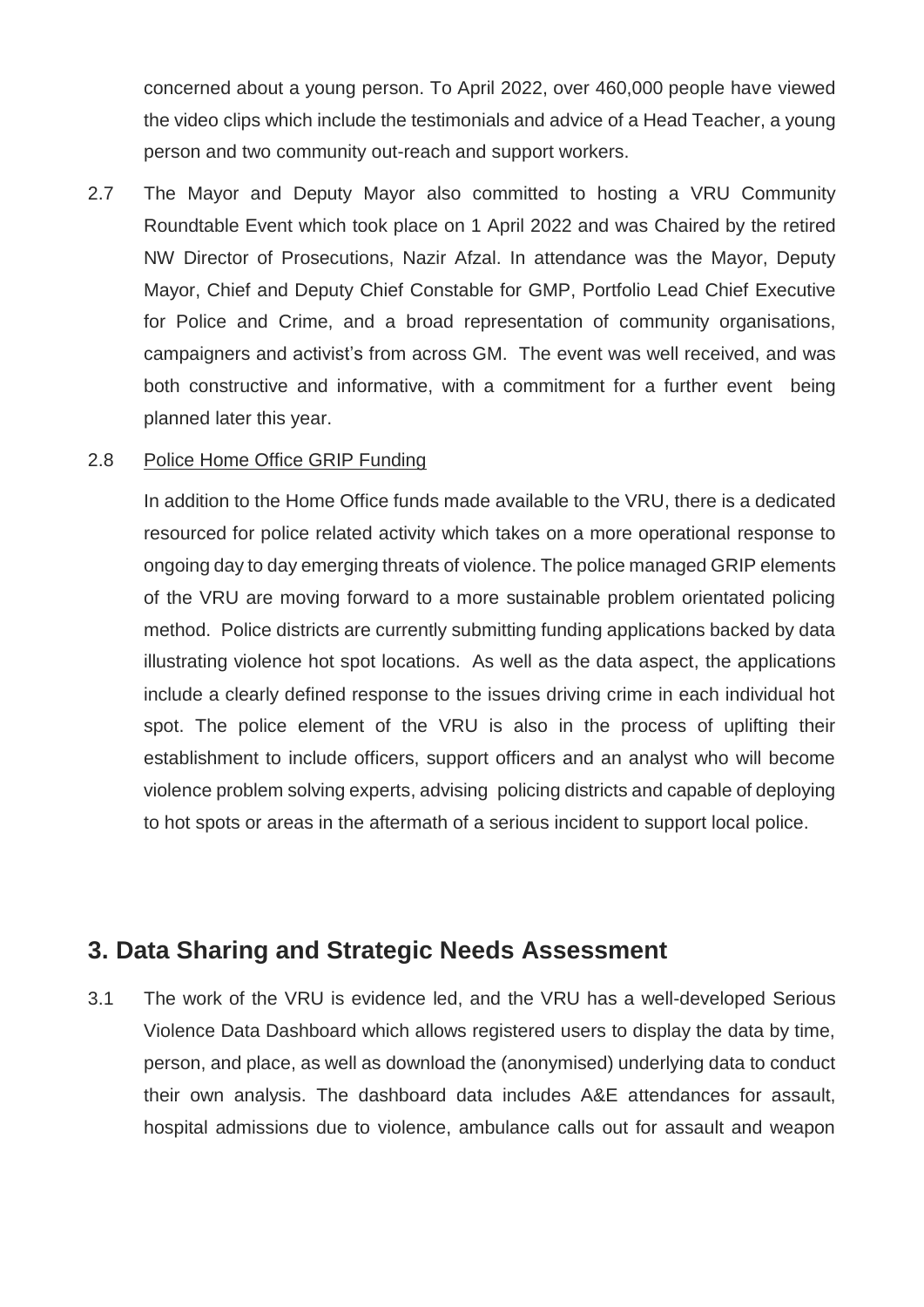concerned about a young person. To April 2022, over 460,000 people have viewed the video clips which include the testimonials and advice of a Head Teacher, a young person and two community out-reach and support workers.

2.7 The Mayor and Deputy Mayor also committed to hosting a VRU Community Roundtable Event which took place on 1 April 2022 and was Chaired by the retired NW Director of Prosecutions, Nazir Afzal. In attendance was the Mayor, Deputy Mayor, Chief and Deputy Chief Constable for GMP, Portfolio Lead Chief Executive for Police and Crime, and a broad representation of community organisations, campaigners and activist's from across GM. The event was well received, and was both constructive and informative, with a commitment for a further event being planned later this year.

#### 2.8 Police Home Office GRIP Funding

In addition to the Home Office funds made available to the VRU, there is a dedicated resourced for police related activity which takes on a more operational response to ongoing day to day emerging threats of violence. The police managed GRIP elements of the VRU are moving forward to a more sustainable problem orientated policing method. Police districts are currently submitting funding applications backed by data illustrating violence hot spot locations. As well as the data aspect, the applications include a clearly defined response to the issues driving crime in each individual hot spot. The police element of the VRU is also in the process of uplifting their establishment to include officers, support officers and an analyst who will become violence problem solving experts, advising policing districts and capable of deploying to hot spots or areas in the aftermath of a serious incident to support local police.

### **3. Data Sharing and Strategic Needs Assessment**

3.1 The work of the VRU is evidence led, and the VRU has a well-developed Serious Violence Data Dashboard which allows registered users to display the data by time, person, and place, as well as download the (anonymised) underlying data to conduct their own analysis. The dashboard data includes A&E attendances for assault, hospital admissions due to violence, ambulance calls out for assault and weapon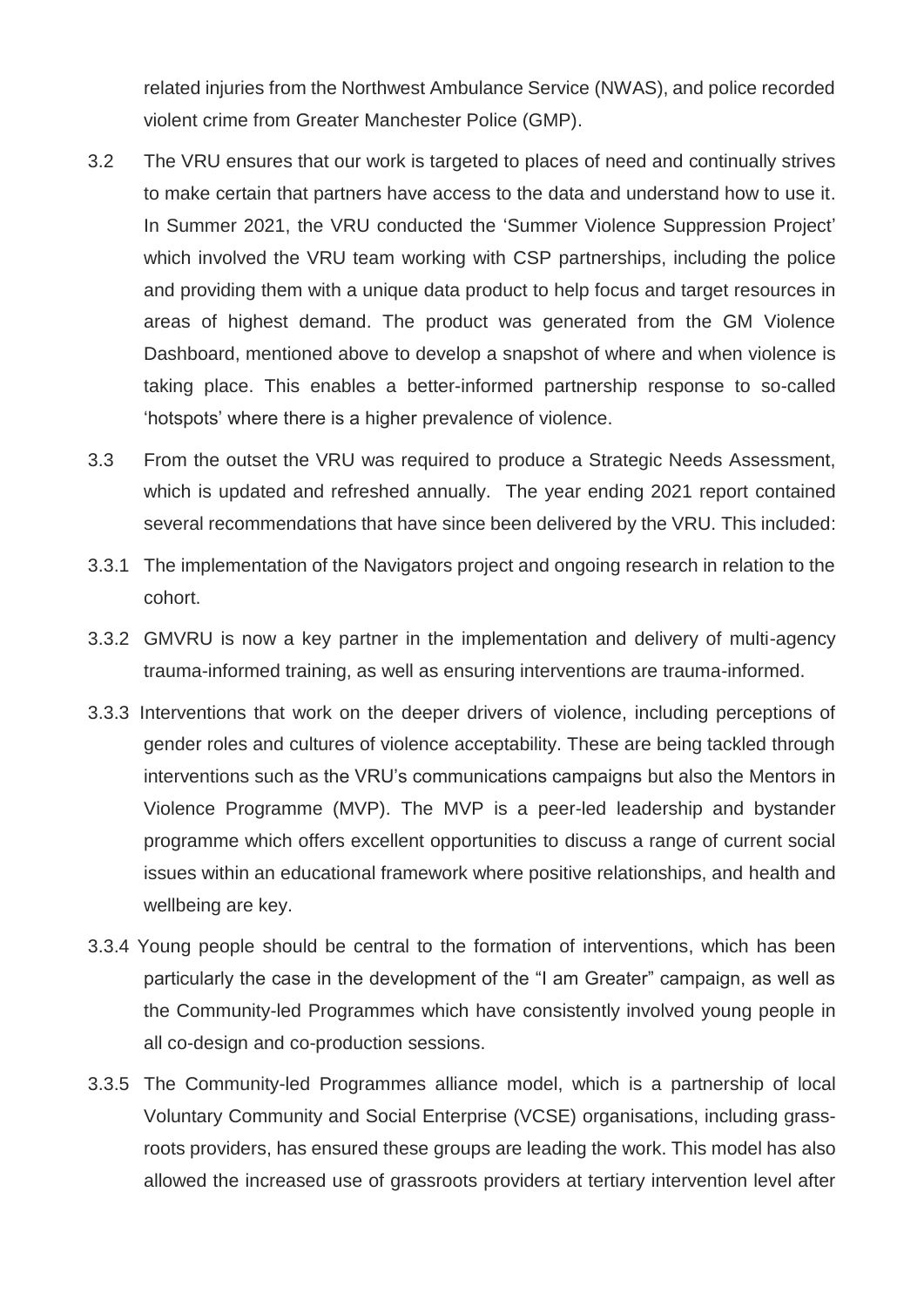related injuries from the Northwest Ambulance Service (NWAS), and police recorded violent crime from Greater Manchester Police (GMP).

- 3.2 The VRU ensures that our work is targeted to places of need and continually strives to make certain that partners have access to the data and understand how to use it. In Summer 2021, the VRU conducted the 'Summer Violence Suppression Project' which involved the VRU team working with CSP partnerships, including the police and providing them with a unique data product to help focus and target resources in areas of highest demand. The product was generated from the GM Violence Dashboard, mentioned above to develop a snapshot of where and when violence is taking place. This enables a better-informed partnership response to so-called 'hotspots' where there is a higher prevalence of violence.
- 3.3 From the outset the VRU was required to produce a Strategic Needs Assessment, which is updated and refreshed annually. The year ending 2021 report contained several recommendations that have since been delivered by the VRU. This included:
- 3.3.1 The implementation of the Navigators project and ongoing research in relation to the cohort.
- 3.3.2 GMVRU is now a key partner in the implementation and delivery of multi-agency trauma-informed training, as well as ensuring interventions are trauma-informed.
- 3.3.3 Interventions that work on the deeper drivers of violence, including perceptions of gender roles and cultures of violence acceptability. These are being tackled through interventions such as the VRU's communications campaigns but also the Mentors in Violence Programme (MVP). The MVP is a peer-led leadership and bystander programme which offers excellent opportunities to discuss a range of current social issues within an educational framework where positive relationships, and health and wellbeing are key.
- 3.3.4 Young people should be central to the formation of interventions, which has been particularly the case in the development of the "I am Greater" campaign, as well as the Community-led Programmes which have consistently involved young people in all co-design and co-production sessions.
- 3.3.5 The Community-led Programmes alliance model, which is a partnership of local Voluntary Community and Social Enterprise (VCSE) organisations, including grassroots providers, has ensured these groups are leading the work. This model has also allowed the increased use of grassroots providers at tertiary intervention level after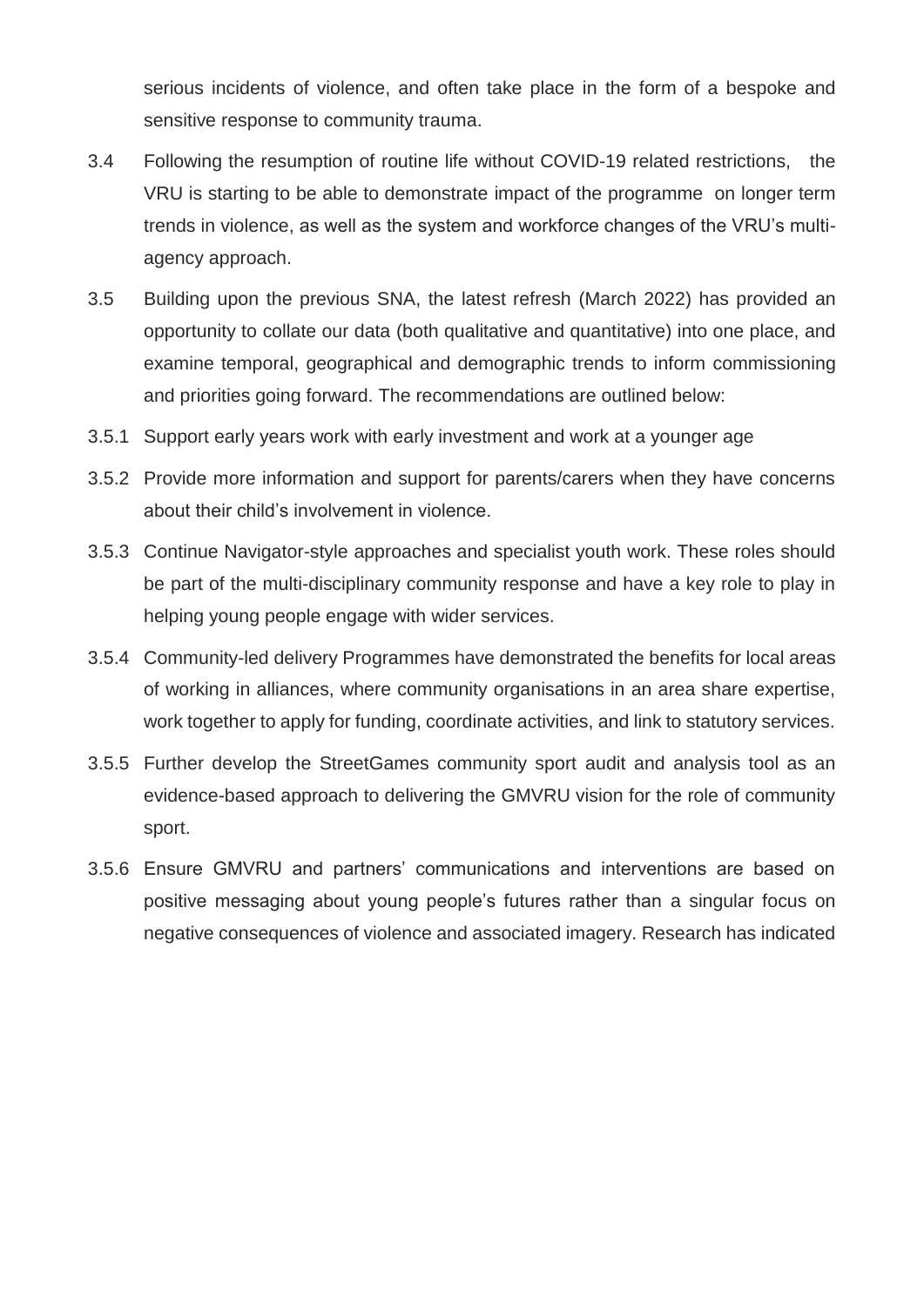serious incidents of violence, and often take place in the form of a bespoke and sensitive response to community trauma.

- 3.4 Following the resumption of routine life without COVID-19 related restrictions, the VRU is starting to be able to demonstrate impact of the programme on longer term trends in violence, as well as the system and workforce changes of the VRU's multiagency approach.
- 3.5 Building upon the previous SNA, the latest refresh (March 2022) has provided an opportunity to collate our data (both qualitative and quantitative) into one place, and examine temporal, geographical and demographic trends to inform commissioning and priorities going forward. The recommendations are outlined below:
- 3.5.1 Support early years work with early investment and work at a younger age
- 3.5.2 Provide more information and support for parents/carers when they have concerns about their child's involvement in violence.
- 3.5.3 Continue Navigator-style approaches and specialist youth work. These roles should be part of the multi-disciplinary community response and have a key role to play in helping young people engage with wider services.
- 3.5.4 Community-led delivery Programmes have demonstrated the benefits for local areas of working in alliances, where community organisations in an area share expertise, work together to apply for funding, coordinate activities, and link to statutory services.
- 3.5.5 Further develop the StreetGames community sport audit and analysis tool as an evidence-based approach to delivering the GMVRU vision for the role of community sport.
- 3.5.6 Ensure GMVRU and partners' communications and interventions are based on positive messaging about young people's futures rather than a singular focus on negative consequences of violence and associated imagery. Research has indicated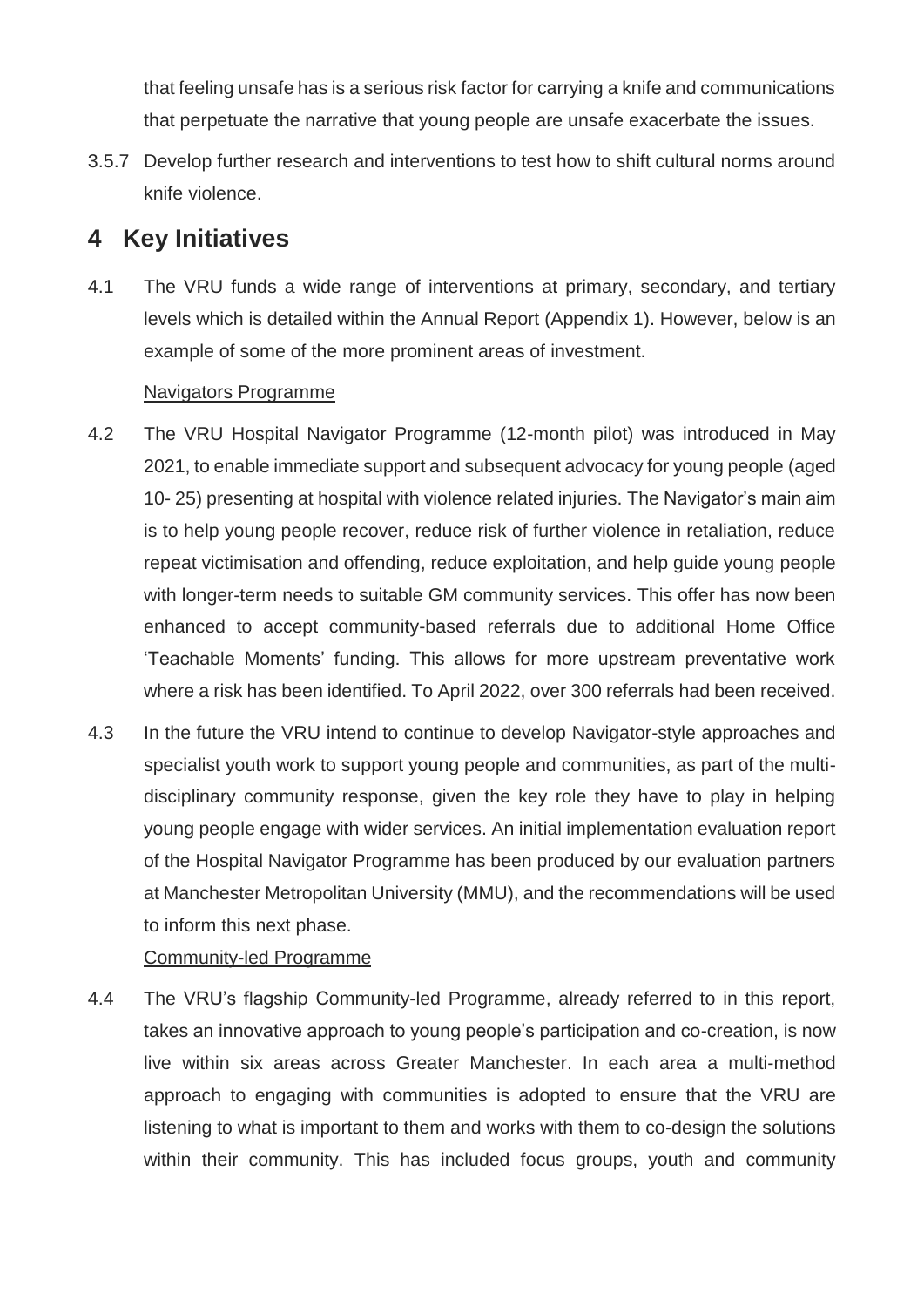that feeling unsafe has is a serious risk factor for carrying a knife and communications that perpetuate the narrative that young people are unsafe exacerbate the issues.

3.5.7 Develop further research and interventions to test how to shift cultural norms around knife violence.

# **4 Key Initiatives**

4.1 The VRU funds a wide range of interventions at primary, secondary, and tertiary levels which is detailed within the Annual Report (Appendix 1). However, below is an example of some of the more prominent areas of investment.

### Navigators Programme

- 4.2 The VRU Hospital Navigator Programme (12-month pilot) was introduced in May 2021, to enable immediate support and subsequent advocacy for young people (aged 10- 25) presenting at hospital with violence related injuries. The Navigator's main aim is to help young people recover, reduce risk of further violence in retaliation, reduce repeat victimisation and offending, reduce exploitation, and help guide young people with longer-term needs to suitable GM community services. This offer has now been enhanced to accept community-based referrals due to additional Home Office 'Teachable Moments' funding. This allows for more upstream preventative work where a risk has been identified. To April 2022, over 300 referrals had been received.
- 4.3 In the future the VRU intend to continue to develop Navigator-style approaches and specialist youth work to support young people and communities, as part of the multidisciplinary community response, given the key role they have to play in helping young people engage with wider services. An initial implementation evaluation report of the Hospital Navigator Programme has been produced by our evaluation partners at Manchester Metropolitan University (MMU), and the recommendations will be used to inform this next phase.

### Community-led Programme

4.4 The VRU's flagship Community-led Programme, already referred to in this report, takes an innovative approach to young people's participation and co-creation, is now live within six areas across Greater Manchester. In each area a multi-method approach to engaging with communities is adopted to ensure that the VRU are listening to what is important to them and works with them to co-design the solutions within their community. This has included focus groups, youth and community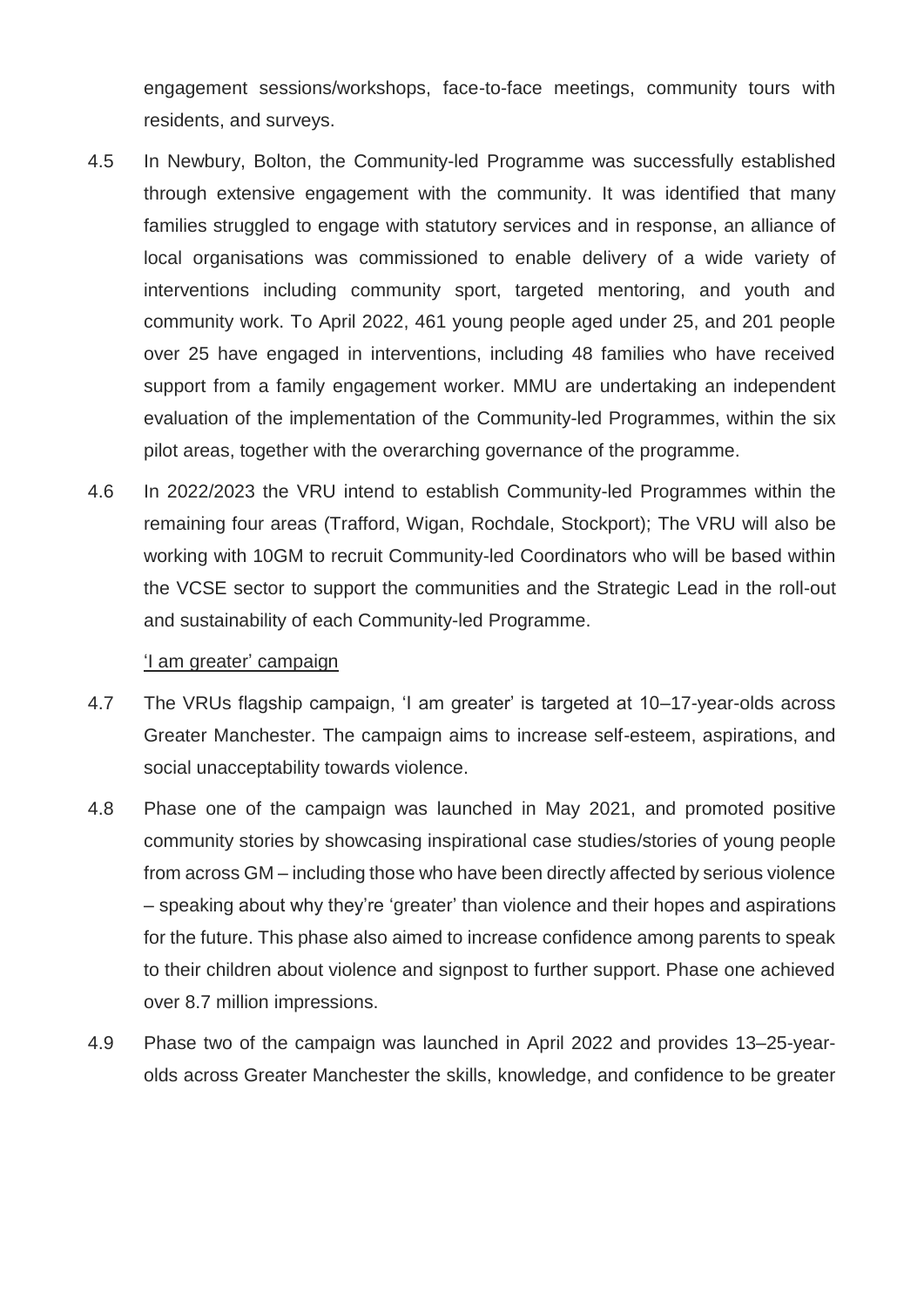engagement sessions/workshops, face-to-face meetings, community tours with residents, and surveys.

- 4.5 In Newbury, Bolton, the Community-led Programme was successfully established through extensive engagement with the community. It was identified that many families struggled to engage with statutory services and in response, an alliance of local organisations was commissioned to enable delivery of a wide variety of interventions including community sport, targeted mentoring, and youth and community work. To April 2022, 461 young people aged under 25, and 201 people over 25 have engaged in interventions, including 48 families who have received support from a family engagement worker. MMU are undertaking an independent evaluation of the implementation of the Community-led Programmes, within the six pilot areas, together with the overarching governance of the programme.
- 4.6 In 2022/2023 the VRU intend to establish Community-led Programmes within the remaining four areas (Trafford, Wigan, Rochdale, Stockport); The VRU will also be working with 10GM to recruit Community-led Coordinators who will be based within the VCSE sector to support the communities and the Strategic Lead in the roll-out and sustainability of each Community-led Programme.

#### 'I am greater' campaign

- 4.7 The VRUs flagship campaign, 'I am greater' is targeted at 10–17-year-olds across Greater Manchester. The campaign aims to increase self-esteem, aspirations, and social unacceptability towards violence.
- 4.8 Phase one of the campaign was launched in May 2021, and promoted positive community stories by showcasing inspirational case studies/stories of young people from across GM – including those who have been directly affected by serious violence – speaking about why they're 'greater' than violence and their hopes and aspirations for the future. This phase also aimed to increase confidence among parents to speak to their children about violence and signpost to further support. Phase one achieved over 8.7 million impressions.
- 4.9 Phase two of the campaign was launched in April 2022 and provides 13–25-yearolds across Greater Manchester the skills, knowledge, and confidence to be greater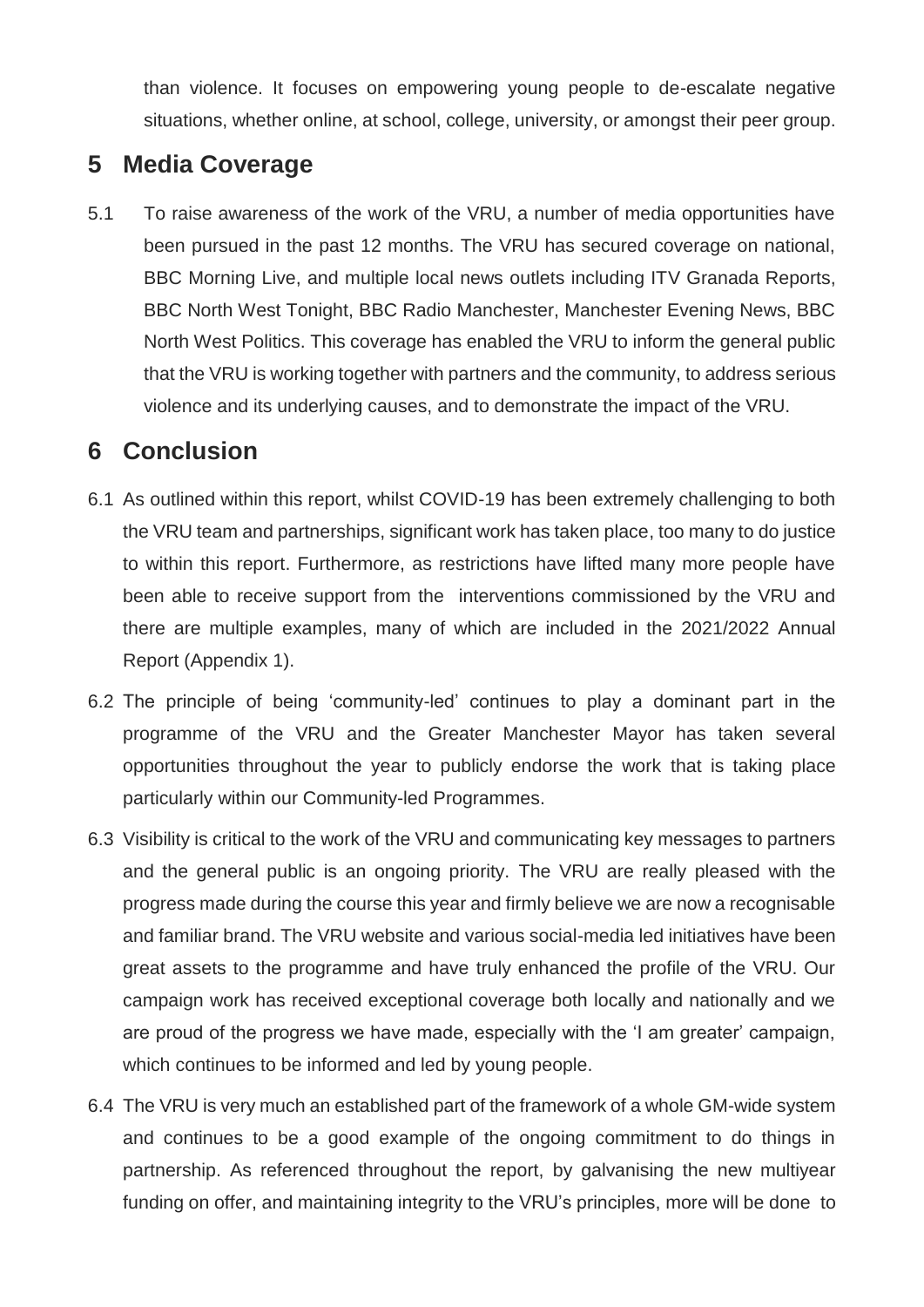than violence. It focuses on empowering young people to de-escalate negative situations, whether online, at school, college, university, or amongst their peer group.

# **5 Media Coverage**

5.1 To raise awareness of the work of the VRU, a number of media opportunities have been pursued in the past 12 months. The VRU has secured coverage on national, BBC Morning Live, and multiple local news outlets including ITV Granada Reports, BBC North West Tonight, BBC Radio Manchester, Manchester Evening News, BBC North West Politics. This coverage has enabled the VRU to inform the general public that the VRU is working together with partners and the community, to address serious violence and its underlying causes, and to demonstrate the impact of the VRU.

# **6 Conclusion**

- 6.1 As outlined within this report, whilst COVID-19 has been extremely challenging to both the VRU team and partnerships, significant work has taken place, too many to do justice to within this report. Furthermore, as restrictions have lifted many more people have been able to receive support from the interventions commissioned by the VRU and there are multiple examples, many of which are included in the 2021/2022 Annual Report (Appendix 1).
- 6.2 The principle of being 'community-led' continues to play a dominant part in the programme of the VRU and the Greater Manchester Mayor has taken several opportunities throughout the year to publicly endorse the work that is taking place particularly within our Community-led Programmes.
- 6.3 Visibility is critical to the work of the VRU and communicating key messages to partners and the general public is an ongoing priority. The VRU are really pleased with the progress made during the course this year and firmly believe we are now a recognisable and familiar brand. The VRU website and various social-media led initiatives have been great assets to the programme and have truly enhanced the profile of the VRU. Our campaign work has received exceptional coverage both locally and nationally and we are proud of the progress we have made, especially with the 'I am greater' campaign, which continues to be informed and led by young people.
- 6.4 The VRU is very much an established part of the framework of a whole GM-wide system and continues to be a good example of the ongoing commitment to do things in partnership. As referenced throughout the report, by galvanising the new multiyear funding on offer, and maintaining integrity to the VRU's principles, more will be done to